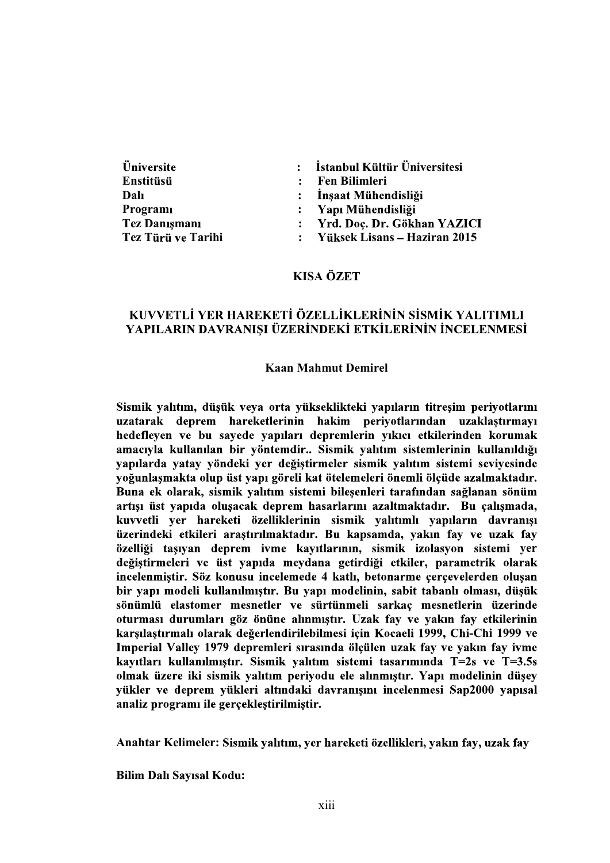| Üniversite           | $\ddot{\cdot}$ | İstanbul Kültür Üniversitesi |  |
|----------------------|----------------|------------------------------|--|
| Enstitüsü            | $\ddot{\cdot}$ | <b>Fen Bilimleri</b>         |  |
| Dalı                 | $\ddot{\cdot}$ | İnşaat Mühendisliği          |  |
| Programı             | $\ddot{\cdot}$ | Yapı Mühendisliği            |  |
| <b>Tez Danışmanı</b> | :              | Yrd. Doç. Dr. Gökhan YAZICI  |  |
| Tez Türü ve Tarihi   | $\ddot{\cdot}$ | Yüksek Lisans - Haziran 2015 |  |
|                      |                |                              |  |
|                      |                | <b>KISA ÖZET</b>             |  |
|                      |                |                              |  |

# **KISA ÖZET**

## KUVVETLİ YER HAREKETİ ÖZELLİKLERİNİN SİSMİK YALITIMLI YAPILARIN DAVRANISI ÜZERİNDEKİ ETKİLERİNİN İNCELENMESİ

#### Kaan Mahmut Demirel

Sismik yalıtım, düşük veya orta yükseklikteki yapıların titreşim periyotlarını uzatarak deprem hareketlerinin hakim perivotlarından uzaklastırmayı hedefleyen ve bu sayede yapıları depremlerin yıkıcı etkilerinden korumak amacıyla kullanılan bir yöntemdir.. Sismik yalıtım sistemlerinin kullanıldığı yapılarda yatay yöndeki yer değiştirmeler sismik yalıtım sistemi seviyesinde voğunlasmakta olup üst vapı göreli kat ötelemeleri önemli ölcüde azalmaktadır. Buna ek olarak, sismik valıtım sistemi bilesenleri tarafından sağlanan sönüm artışı üst yapıda oluşacak deprem hasarlarını azaltmaktadır. Bu çalışmada, kuvvetli ver hareketi özelliklerinin sismik valıtımlı vapıların davranısı üzerindeki etkileri araştırılmaktadır. Bu kapsamda, yakın fay ve uzak fay özelliği taşıyan deprem ivme kayıtlarının, sismik izolasyon sistemi yer değiştirmeleri ve üst yapıda meydana getirdiği etkiler, parametrik olarak incelenmiştir. Söz konusu incelemede 4 katlı, betonarme çerçevelerden oluşan bir yapı modeli kullanılmıştır. Bu yapı modelinin, sabit tabanlı olması, düşük sönümlü elastomer mesnetler ve sürtünmeli sarkaç mesnetlerin üzerinde oturması durumları göz önüne alınmıştır. Uzak fay ve yakın fay etkilerinin karşılaştırmalı olarak değerlendirilebilmesi için Kocaeli 1999, Chi-Chi 1999 ve Imperial Valley 1979 depremleri sırasında ölcülen uzak fav ve vakın fav iyme kayıtları kullanılmıştır. Sismik yalıtım sistemi tasarımında T=2s ve T=3.5s olmak üzere iki sismik yalıtım periyodu ele alınmıştır. Yapı modelinin düşey vükler ve deprem vükleri altındaki davranışını incelenmesi Sap2000 yapısal analiz programı ile gerçekleştirilmiştir.

Anahtar Kelimeler: Sismik yalıtım, yer hareketi özellikleri, yakın fay, uzak fay

**Bilim Dalı Sayısal Kodu:**